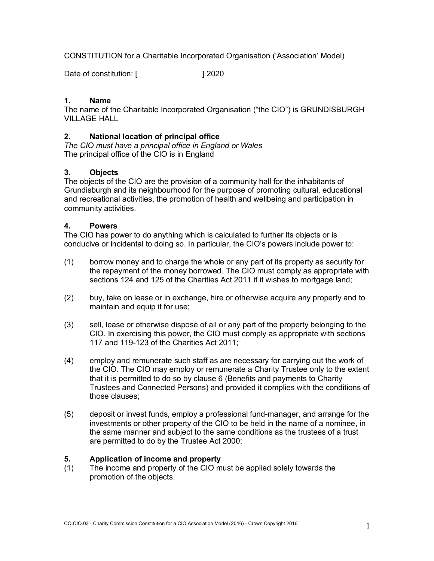CONSTITUTION for a Charitable Incorporated Organisation ('Association' Model)

Date of constitution: [ ] 2020

# **1. Name**

The name of the Charitable Incorporated Organisation ("the CIO") is GRUNDISBURGH VILLAGE HALL

## **2. National location of principal office**

*The CIO must have a principal office in England or Wales*  The principal office of the CIO is in England

# **3. Objects**

The objects of the CIO are the provision of a community hall for the inhabitants of Grundisburgh and its neighbourhood for the purpose of promoting cultural, educational and recreational activities, the promotion of health and wellbeing and participation in community activities.

## **4. Powers**

The CIO has power to do anything which is calculated to further its objects or is conducive or incidental to doing so. In particular, the CIO's powers include power to:

- (1) borrow money and to charge the whole or any part of its property as security for the repayment of the money borrowed. The CIO must comply as appropriate with sections 124 and 125 of the Charities Act 2011 if it wishes to mortgage land;
- (2) buy, take on lease or in exchange, hire or otherwise acquire any property and to maintain and equip it for use;
- (3) sell, lease or otherwise dispose of all or any part of the property belonging to the CIO. In exercising this power, the CIO must comply as appropriate with sections 117 and 119-123 of the Charities Act 2011;
- (4) employ and remunerate such staff as are necessary for carrying out the work of the CIO. The CIO may employ or remunerate a Charity Trustee only to the extent that it is permitted to do so by clause 6 (Benefits and payments to Charity Trustees and Connected Persons) and provided it complies with the conditions of those clauses;
- (5) deposit or invest funds, employ a professional fund-manager, and arrange for the investments or other property of the CIO to be held in the name of a nominee, in the same manner and subject to the same conditions as the trustees of a trust are permitted to do by the Trustee Act 2000;

## **5. Application of income and property**

(1) The income and property of the CIO must be applied solely towards the promotion of the objects.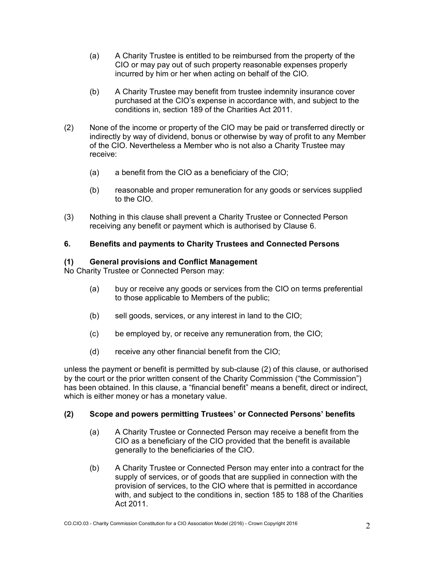- (a) A Charity Trustee is entitled to be reimbursed from the property of the CIO or may pay out of such property reasonable expenses properly incurred by him or her when acting on behalf of the CIO.
- (b) A Charity Trustee may benefit from trustee indemnity insurance cover purchased at the CIO's expense in accordance with, and subject to the conditions in, section 189 of the Charities Act 2011.
- (2) None of the income or property of the CIO may be paid or transferred directly or indirectly by way of dividend, bonus or otherwise by way of profit to any Member of the CIO. Nevertheless a Member who is not also a Charity Trustee may receive:
	- (a) a benefit from the CIO as a beneficiary of the CIO;
	- (b) reasonable and proper remuneration for any goods or services supplied to the CIO.
- (3) Nothing in this clause shall prevent a Charity Trustee or Connected Person receiving any benefit or payment which is authorised by Clause 6.

# **6. Benefits and payments to Charity Trustees and Connected Persons**

## **(1) General provisions and Conflict Management**

No Charity Trustee or Connected Person may:

- (a) buy or receive any goods or services from the CIO on terms preferential to those applicable to Members of the public;
- (b) sell goods, services, or any interest in land to the CIO;
- (c) be employed by, or receive any remuneration from, the CIO;
- (d) receive any other financial benefit from the CIO;

unless the payment or benefit is permitted by sub-clause (2) of this clause, or authorised by the court or the prior written consent of the Charity Commission ("the Commission") has been obtained. In this clause, a "financial benefit" means a benefit, direct or indirect, which is either money or has a monetary value.

## **(2) Scope and powers permitting Trustees' or Connected Persons' benefits**

- (a) A Charity Trustee or Connected Person may receive a benefit from the CIO as a beneficiary of the CIO provided that the benefit is available generally to the beneficiaries of the CIO.
- (b) A Charity Trustee or Connected Person may enter into a contract for the supply of services, or of goods that are supplied in connection with the provision of services, to the CIO where that is permitted in accordance with, and subject to the conditions in, section 185 to 188 of the Charities Act 2011.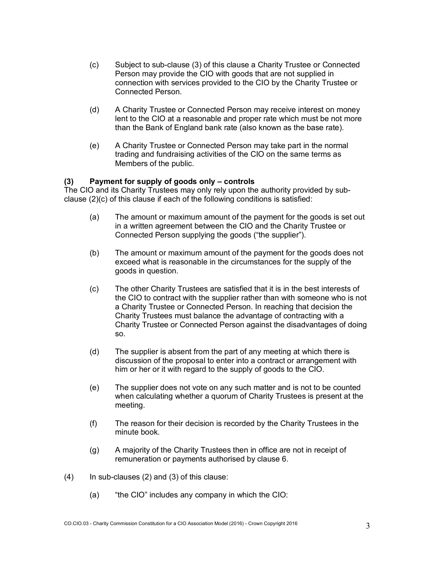- (c) Subject to sub-clause (3) of this clause a Charity Trustee or Connected Person may provide the CIO with goods that are not supplied in connection with services provided to the CIO by the Charity Trustee or Connected Person.
- (d) A Charity Trustee or Connected Person may receive interest on money lent to the CIO at a reasonable and proper rate which must be not more than the Bank of England bank rate (also known as the base rate).
- (e) A Charity Trustee or Connected Person may take part in the normal trading and fundraising activities of the CIO on the same terms as Members of the public.

### **(3) Payment for supply of goods only – controls**

The CIO and its Charity Trustees may only rely upon the authority provided by subclause (2)(c) of this clause if each of the following conditions is satisfied:

- (a) The amount or maximum amount of the payment for the goods is set out in a written agreement between the CIO and the Charity Trustee or Connected Person supplying the goods ("the supplier").
- (b) The amount or maximum amount of the payment for the goods does not exceed what is reasonable in the circumstances for the supply of the goods in question.
- (c) The other Charity Trustees are satisfied that it is in the best interests of the CIO to contract with the supplier rather than with someone who is not a Charity Trustee or Connected Person. In reaching that decision the Charity Trustees must balance the advantage of contracting with a Charity Trustee or Connected Person against the disadvantages of doing so.
- (d) The supplier is absent from the part of any meeting at which there is discussion of the proposal to enter into a contract or arrangement with him or her or it with regard to the supply of goods to the CIO.
- (e) The supplier does not vote on any such matter and is not to be counted when calculating whether a quorum of Charity Trustees is present at the meeting.
- (f) The reason for their decision is recorded by the Charity Trustees in the minute book.
- (g) A majority of the Charity Trustees then in office are not in receipt of remuneration or payments authorised by clause 6.
- (4) In sub-clauses (2) and (3) of this clause:
	- (a) "the CIO" includes any company in which the CIO: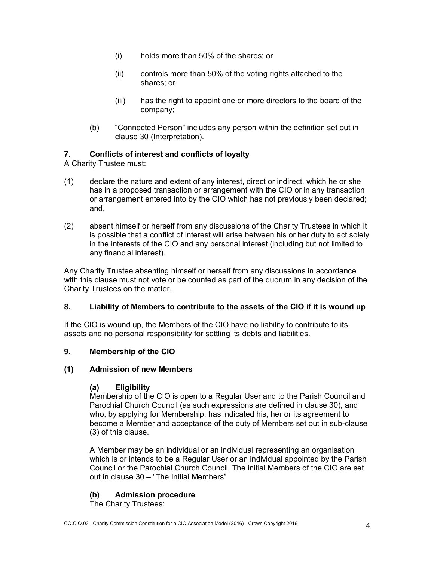- (i) holds more than 50% of the shares; or
- (ii) controls more than 50% of the voting rights attached to the shares; or
- (iii) has the right to appoint one or more directors to the board of the company;
- (b) "Connected Person" includes any person within the definition set out in clause 30 (Interpretation).

# **7. Conflicts of interest and conflicts of loyalty**

A Charity Trustee must:

- (1) declare the nature and extent of any interest, direct or indirect, which he or she has in a proposed transaction or arrangement with the CIO or in any transaction or arrangement entered into by the CIO which has not previously been declared; and,
- (2) absent himself or herself from any discussions of the Charity Trustees in which it is possible that a conflict of interest will arise between his or her duty to act solely in the interests of the CIO and any personal interest (including but not limited to any financial interest).

Any Charity Trustee absenting himself or herself from any discussions in accordance with this clause must not vote or be counted as part of the quorum in any decision of the Charity Trustees on the matter.

## **8. Liability of Members to contribute to the assets of the CIO if it is wound up**

If the CIO is wound up, the Members of the CIO have no liability to contribute to its assets and no personal responsibility for settling its debts and liabilities.

## **9. Membership of the CIO**

## **(1) Admission of new Members**

## **(a) Eligibility**

Membership of the CIO is open to a Regular User and to the Parish Council and Parochial Church Council (as such expressions are defined in clause 30), and who, by applying for Membership, has indicated his, her or its agreement to become a Member and acceptance of the duty of Members set out in sub-clause (3) of this clause.

A Member may be an individual or an individual representing an organisation which is or intends to be a Regular User or an individual appointed by the Parish Council or the Parochial Church Council. The initial Members of the CIO are set out in clause 30 – "The Initial Members"

## **(b) Admission procedure**

The Charity Trustees: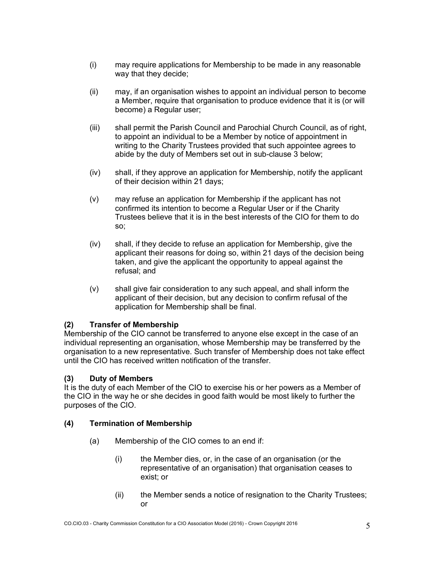- (i) may require applications for Membership to be made in any reasonable way that they decide;
- (ii) may, if an organisation wishes to appoint an individual person to become a Member, require that organisation to produce evidence that it is (or will become) a Regular user;
- (iii) shall permit the Parish Council and Parochial Church Council, as of right, to appoint an individual to be a Member by notice of appointment in writing to the Charity Trustees provided that such appointee agrees to abide by the duty of Members set out in sub-clause 3 below;
- (iv) shall, if they approve an application for Membership, notify the applicant of their decision within 21 days;
- (v) may refuse an application for Membership if the applicant has not confirmed its intention to become a Regular User or if the Charity Trustees believe that it is in the best interests of the CIO for them to do so;
- (iv) shall, if they decide to refuse an application for Membership, give the applicant their reasons for doing so, within 21 days of the decision being taken, and give the applicant the opportunity to appeal against the refusal; and
- (v) shall give fair consideration to any such appeal, and shall inform the applicant of their decision, but any decision to confirm refusal of the application for Membership shall be final.

# **(2) Transfer of Membership**

Membership of the CIO cannot be transferred to anyone else except in the case of an individual representing an organisation, whose Membership may be transferred by the organisation to a new representative. Such transfer of Membership does not take effect until the CIO has received written notification of the transfer.

## **(3) Duty of Members**

It is the duty of each Member of the CIO to exercise his or her powers as a Member of the CIO in the way he or she decides in good faith would be most likely to further the purposes of the CIO.

## **(4) Termination of Membership**

- (a) Membership of the CIO comes to an end if:
	- (i) the Member dies, or, in the case of an organisation (or the representative of an organisation) that organisation ceases to exist; or
	- (ii) the Member sends a notice of resignation to the Charity Trustees; or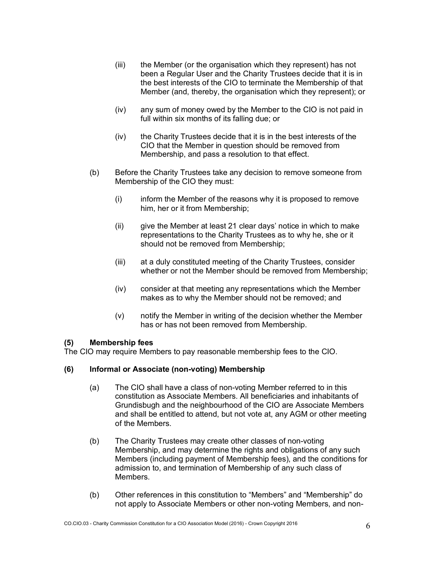- (iii) the Member (or the organisation which they represent) has not been a Regular User and the Charity Trustees decide that it is in the best interests of the CIO to terminate the Membership of that Member (and, thereby, the organisation which they represent); or
- (iv) any sum of money owed by the Member to the CIO is not paid in full within six months of its falling due; or
- (iv) the Charity Trustees decide that it is in the best interests of the CIO that the Member in question should be removed from Membership, and pass a resolution to that effect.
- (b) Before the Charity Trustees take any decision to remove someone from Membership of the CIO they must:
	- (i) inform the Member of the reasons why it is proposed to remove him, her or it from Membership;
	- (ii) give the Member at least 21 clear days' notice in which to make representations to the Charity Trustees as to why he, she or it should not be removed from Membership;
	- (iii) at a duly constituted meeting of the Charity Trustees, consider whether or not the Member should be removed from Membership;
	- (iv) consider at that meeting any representations which the Member makes as to why the Member should not be removed; and
	- (v) notify the Member in writing of the decision whether the Member has or has not been removed from Membership.

## **(5) Membership fees**

The CIO may require Members to pay reasonable membership fees to the CIO.

#### **(6) Informal or Associate (non-voting) Membership**

- (a) The CIO shall have a class of non-voting Member referred to in this constitution as Associate Members. All beneficiaries and inhabitants of Grundisbugh and the neighbourhood of the CIO are Associate Members and shall be entitled to attend, but not vote at, any AGM or other meeting of the Members.
- (b) The Charity Trustees may create other classes of non-voting Membership, and may determine the rights and obligations of any such Members (including payment of Membership fees), and the conditions for admission to, and termination of Membership of any such class of Members.
- (b) Other references in this constitution to "Members" and "Membership" do not apply to Associate Members or other non-voting Members, and non-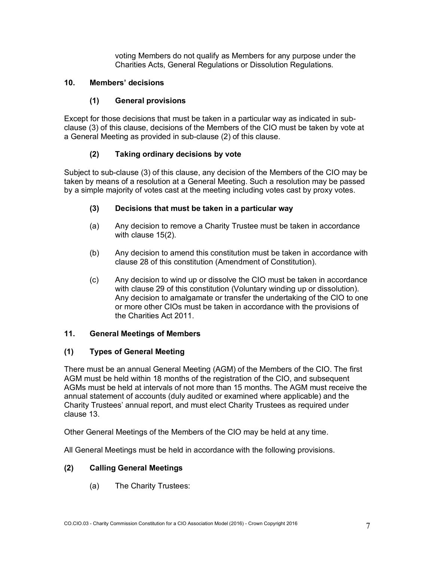voting Members do not qualify as Members for any purpose under the Charities Acts, General Regulations or Dissolution Regulations.

## **10. Members' decisions**

# **(1) General provisions**

Except for those decisions that must be taken in a particular way as indicated in subclause (3) of this clause, decisions of the Members of the CIO must be taken by vote at a General Meeting as provided in sub-clause (2) of this clause.

# **(2) Taking ordinary decisions by vote**

Subject to sub-clause (3) of this clause, any decision of the Members of the CIO may be taken by means of a resolution at a General Meeting. Such a resolution may be passed by a simple majority of votes cast at the meeting including votes cast by proxy votes.

## **(3) Decisions that must be taken in a particular way**

- (a) Any decision to remove a Charity Trustee must be taken in accordance with clause 15(2).
- (b) Any decision to amend this constitution must be taken in accordance with clause 28 of this constitution (Amendment of Constitution).
- (c) Any decision to wind up or dissolve the CIO must be taken in accordance with clause 29 of this constitution (Voluntary winding up or dissolution). Any decision to amalgamate or transfer the undertaking of the CIO to one or more other CIOs must be taken in accordance with the provisions of the Charities Act 2011.

## **11. General Meetings of Members**

## **(1) Types of General Meeting**

There must be an annual General Meeting (AGM) of the Members of the CIO. The first AGM must be held within 18 months of the registration of the CIO, and subsequent AGMs must be held at intervals of not more than 15 months. The AGM must receive the annual statement of accounts (duly audited or examined where applicable) and the Charity Trustees' annual report, and must elect Charity Trustees as required under clause 13.

Other General Meetings of the Members of the CIO may be held at any time.

All General Meetings must be held in accordance with the following provisions.

## **(2) Calling General Meetings**

(a) The Charity Trustees: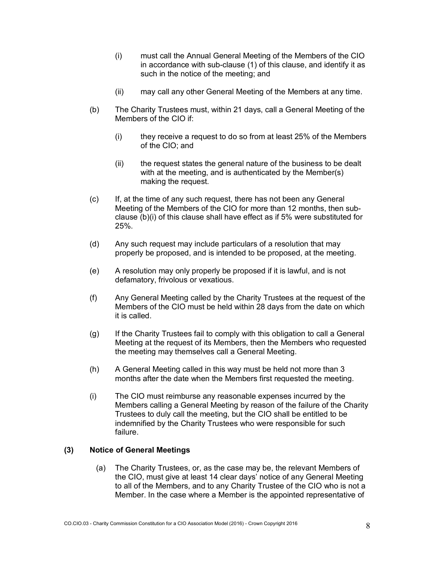- (i) must call the Annual General Meeting of the Members of the CIO in accordance with sub-clause (1) of this clause, and identify it as such in the notice of the meeting; and
- (ii) may call any other General Meeting of the Members at any time.
- (b) The Charity Trustees must, within 21 days, call a General Meeting of the Members of the CIO if:
	- (i) they receive a request to do so from at least 25% of the Members of the CIO; and
	- (ii) the request states the general nature of the business to be dealt with at the meeting, and is authenticated by the Member(s) making the request.
- (c) If, at the time of any such request, there has not been any General Meeting of the Members of the CIO for more than 12 months, then subclause (b)(i) of this clause shall have effect as if 5% were substituted for 25%.
- (d) Any such request may include particulars of a resolution that may properly be proposed, and is intended to be proposed, at the meeting.
- (e) A resolution may only properly be proposed if it is lawful, and is not defamatory, frivolous or vexatious.
- (f) Any General Meeting called by the Charity Trustees at the request of the Members of the CIO must be held within 28 days from the date on which it is called.
- (g) If the Charity Trustees fail to comply with this obligation to call a General Meeting at the request of its Members, then the Members who requested the meeting may themselves call a General Meeting.
- (h) A General Meeting called in this way must be held not more than 3 months after the date when the Members first requested the meeting.
- (i) The CIO must reimburse any reasonable expenses incurred by the Members calling a General Meeting by reason of the failure of the Charity Trustees to duly call the meeting, but the CIO shall be entitled to be indemnified by the Charity Trustees who were responsible for such failure.

## **(3) Notice of General Meetings**

(a) The Charity Trustees, or, as the case may be, the relevant Members of the CIO, must give at least 14 clear days' notice of any General Meeting to all of the Members, and to any Charity Trustee of the CIO who is not a Member. In the case where a Member is the appointed representative of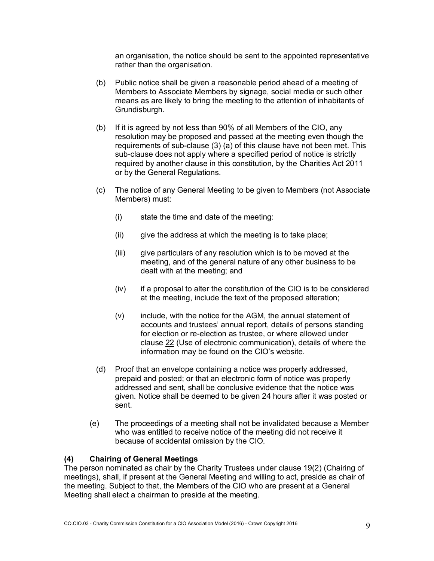an organisation, the notice should be sent to the appointed representative rather than the organisation.

- (b) Public notice shall be given a reasonable period ahead of a meeting of Members to Associate Members by signage, social media or such other means as are likely to bring the meeting to the attention of inhabitants of Grundisburgh.
- (b) If it is agreed by not less than 90% of all Members of the CIO, any resolution may be proposed and passed at the meeting even though the requirements of sub-clause (3) (a) of this clause have not been met. This sub-clause does not apply where a specified period of notice is strictly required by another clause in this constitution, by the Charities Act 2011 or by the General Regulations.
- (c) The notice of any General Meeting to be given to Members (not Associate Members) must:
	- (i) state the time and date of the meeting:
	- (ii) give the address at which the meeting is to take place;
	- (iii) give particulars of any resolution which is to be moved at the meeting, and of the general nature of any other business to be dealt with at the meeting; and
	- (iv) if a proposal to alter the constitution of the CIO is to be considered at the meeting, include the text of the proposed alteration;
	- (v) include, with the notice for the AGM, the annual statement of accounts and trustees' annual report, details of persons standing for election or re-election as trustee, or where allowed under clause 22 (Use of electronic communication), details of where the information may be found on the CIO's website.
- (d) Proof that an envelope containing a notice was properly addressed, prepaid and posted; or that an electronic form of notice was properly addressed and sent, shall be conclusive evidence that the notice was given. Notice shall be deemed to be given 24 hours after it was posted or sent.
- (e) The proceedings of a meeting shall not be invalidated because a Member who was entitled to receive notice of the meeting did not receive it because of accidental omission by the CIO.

## **(4) Chairing of General Meetings**

The person nominated as chair by the Charity Trustees under clause 19(2) (Chairing of meetings), shall, if present at the General Meeting and willing to act, preside as chair of the meeting. Subject to that, the Members of the CIO who are present at a General Meeting shall elect a chairman to preside at the meeting.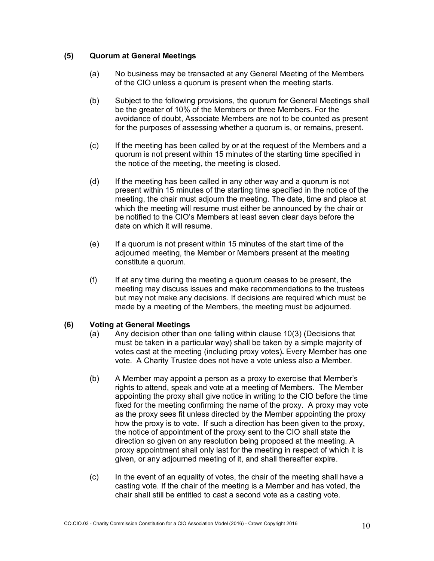### **(5) Quorum at General Meetings**

- (a) No business may be transacted at any General Meeting of the Members of the CIO unless a quorum is present when the meeting starts.
- (b) Subject to the following provisions, the quorum for General Meetings shall be the greater of 10% of the Members or three Members. For the avoidance of doubt, Associate Members are not to be counted as present for the purposes of assessing whether a quorum is, or remains, present.
- (c) If the meeting has been called by or at the request of the Members and a quorum is not present within 15 minutes of the starting time specified in the notice of the meeting, the meeting is closed.
- (d) If the meeting has been called in any other way and a quorum is not present within 15 minutes of the starting time specified in the notice of the meeting, the chair must adjourn the meeting. The date, time and place at which the meeting will resume must either be announced by the chair or be notified to the CIO's Members at least seven clear days before the date on which it will resume.
- (e) If a quorum is not present within 15 minutes of the start time of the adjourned meeting, the Member or Members present at the meeting constitute a quorum.
- $(f)$  If at any time during the meeting a quorum ceases to be present, the meeting may discuss issues and make recommendations to the trustees but may not make any decisions. If decisions are required which must be made by a meeting of the Members, the meeting must be adjourned.

## **(6) Voting at General Meetings**

- (a) Any decision other than one falling within clause 10(3) (Decisions that must be taken in a particular way) shall be taken by a simple majority of votes cast at the meeting (including proxy votes)*.* Every Member has one vote. A Charity Trustee does not have a vote unless also a Member.
- (b) A Member may appoint a person as a proxy to exercise that Member's rights to attend, speak and vote at a meeting of Members. The Member appointing the proxy shall give notice in writing to the CIO before the time fixed for the meeting confirming the name of the proxy. A proxy may vote as the proxy sees fit unless directed by the Member appointing the proxy how the proxy is to vote. If such a direction has been given to the proxy, the notice of appointment of the proxy sent to the CIO shall state the direction so given on any resolution being proposed at the meeting. A proxy appointment shall only last for the meeting in respect of which it is given, or any adjourned meeting of it, and shall thereafter expire.
- (c) In the event of an equality of votes, the chair of the meeting shall have a casting vote. If the chair of the meeting is a Member and has voted, the chair shall still be entitled to cast a second vote as a casting vote.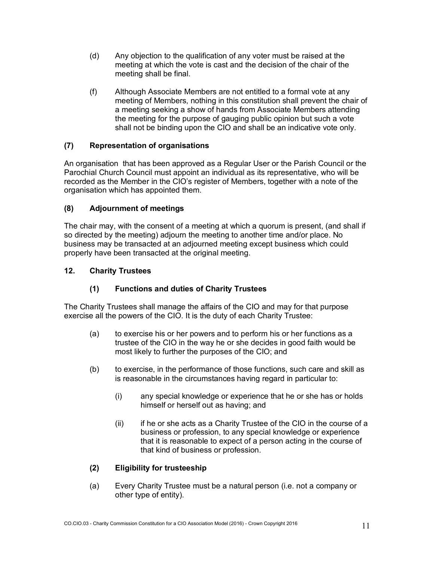- (d) Any objection to the qualification of any voter must be raised at the meeting at which the vote is cast and the decision of the chair of the meeting shall be final.
- (f) Although Associate Members are not entitled to a formal vote at any meeting of Members, nothing in this constitution shall prevent the chair of a meeting seeking a show of hands from Associate Members attending the meeting for the purpose of gauging public opinion but such a vote shall not be binding upon the CIO and shall be an indicative vote only.

# **(7) Representation of organisations**

An organisation that has been approved as a Regular User or the Parish Council or the Parochial Church Council must appoint an individual as its representative, who will be recorded as the Member in the CIO's register of Members, together with a note of the organisation which has appointed them.

# **(8) Adjournment of meetings**

The chair may, with the consent of a meeting at which a quorum is present, (and shall if so directed by the meeting) adjourn the meeting to another time and/or place. No business may be transacted at an adjourned meeting except business which could properly have been transacted at the original meeting.

# **12. Charity Trustees**

# **(1) Functions and duties of Charity Trustees**

The Charity Trustees shall manage the affairs of the CIO and may for that purpose exercise all the powers of the CIO. It is the duty of each Charity Trustee:

- (a) to exercise his or her powers and to perform his or her functions as a trustee of the CIO in the way he or she decides in good faith would be most likely to further the purposes of the CIO; and
- (b) to exercise, in the performance of those functions, such care and skill as is reasonable in the circumstances having regard in particular to:
	- (i) any special knowledge or experience that he or she has or holds himself or herself out as having; and
	- (ii) if he or she acts as a Charity Trustee of the CIO in the course of a business or profession, to any special knowledge or experience that it is reasonable to expect of a person acting in the course of that kind of business or profession.

## **(2) Eligibility for trusteeship**

(a) Every Charity Trustee must be a natural person (i.e. not a company or other type of entity).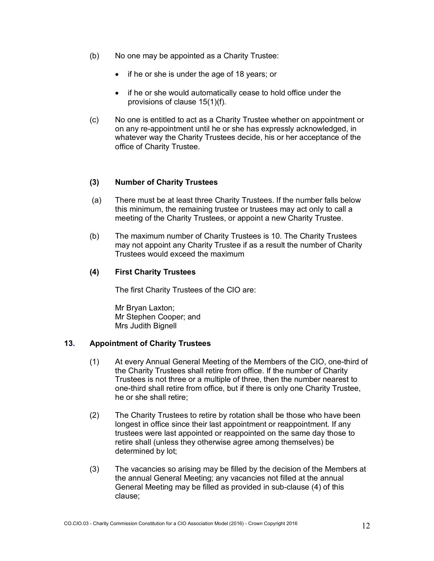- (b) No one may be appointed as a Charity Trustee:
	- if he or she is under the age of 18 years; or
	- if he or she would automatically cease to hold office under the provisions of clause 15(1)(f).
- (c) No one is entitled to act as a Charity Trustee whether on appointment or on any re-appointment until he or she has expressly acknowledged, in whatever way the Charity Trustees decide, his or her acceptance of the office of Charity Trustee.

### **(3) Number of Charity Trustees**

- (a) There must be at least three Charity Trustees. If the number falls below this minimum, the remaining trustee or trustees may act only to call a meeting of the Charity Trustees, or appoint a new Charity Trustee.
- (b) The maximum number of Charity Trustees is 10. The Charity Trustees may not appoint any Charity Trustee if as a result the number of Charity Trustees would exceed the maximum

## **(4) First Charity Trustees**

The first Charity Trustees of the CIO are:

Mr Bryan Laxton; Mr Stephen Cooper; and Mrs Judith Bignell

#### **13. Appointment of Charity Trustees**

- (1) At every Annual General Meeting of the Members of the CIO, one-third of the Charity Trustees shall retire from office. If the number of Charity Trustees is not three or a multiple of three, then the number nearest to one-third shall retire from office, but if there is only one Charity Trustee, he or she shall retire;
- (2) The Charity Trustees to retire by rotation shall be those who have been longest in office since their last appointment or reappointment. If any trustees were last appointed or reappointed on the same day those to retire shall (unless they otherwise agree among themselves) be determined by lot;
- (3) The vacancies so arising may be filled by the decision of the Members at the annual General Meeting; any vacancies not filled at the annual General Meeting may be filled as provided in sub-clause (4) of this clause;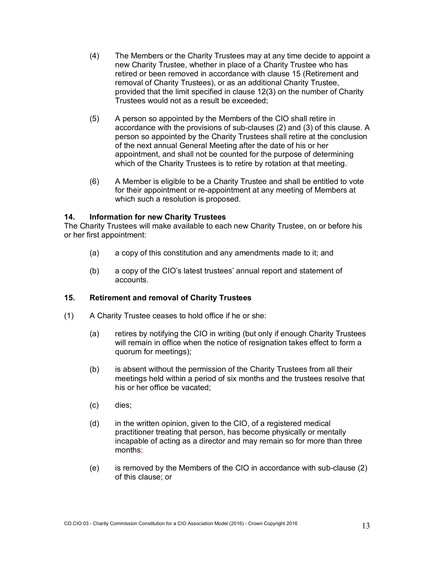- (4) The Members or the Charity Trustees may at any time decide to appoint a new Charity Trustee, whether in place of a Charity Trustee who has retired or been removed in accordance with clause 15 (Retirement and removal of Charity Trustees), or as an additional Charity Trustee, provided that the limit specified in clause 12(3) on the number of Charity Trustees would not as a result be exceeded;
- (5) A person so appointed by the Members of the CIO shall retire in accordance with the provisions of sub-clauses (2) and (3) of this clause. A person so appointed by the Charity Trustees shall retire at the conclusion of the next annual General Meeting after the date of his or her appointment, and shall not be counted for the purpose of determining which of the Charity Trustees is to retire by rotation at that meeting.
- (6) A Member is eligible to be a Charity Trustee and shall be entitled to vote for their appointment or re-appointment at any meeting of Members at which such a resolution is proposed.

## **14. Information for new Charity Trustees**

The Charity Trustees will make available to each new Charity Trustee, on or before his or her first appointment:

- (a) a copy of this constitution and any amendments made to it; and
- (b) a copy of the CIO's latest trustees' annual report and statement of accounts.

## **15. Retirement and removal of Charity Trustees**

- (1) A Charity Trustee ceases to hold office if he or she:
	- (a) retires by notifying the CIO in writing (but only if enough Charity Trustees will remain in office when the notice of resignation takes effect to form a quorum for meetings);
	- (b) is absent without the permission of the Charity Trustees from all their meetings held within a period of six months and the trustees resolve that his or her office be vacated;
	- (c) dies;
	- (d) in the written opinion, given to the CIO, of a registered medical practitioner treating that person, has become physically or mentally incapable of acting as a director and may remain so for more than three months;
	- (e) is removed by the Members of the CIO in accordance with sub-clause (2) of this clause; or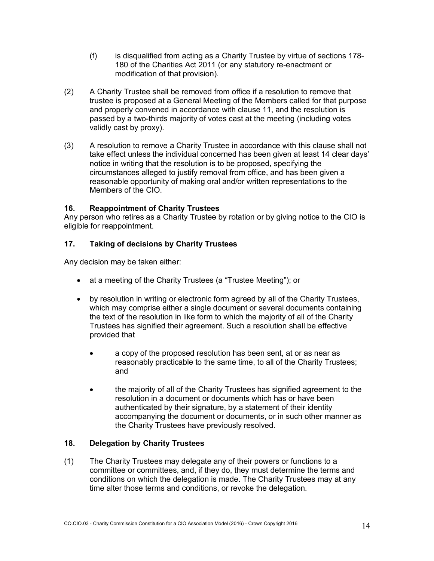- (f) is disqualified from acting as a Charity Trustee by virtue of sections 178- 180 of the Charities Act 2011 (or any statutory re-enactment or modification of that provision).
- (2) A Charity Trustee shall be removed from office if a resolution to remove that trustee is proposed at a General Meeting of the Members called for that purpose and properly convened in accordance with clause 11, and the resolution is passed by a two-thirds majority of votes cast at the meeting (including votes validly cast by proxy).
- (3) A resolution to remove a Charity Trustee in accordance with this clause shall not take effect unless the individual concerned has been given at least 14 clear days' notice in writing that the resolution is to be proposed, specifying the circumstances alleged to justify removal from office, and has been given a reasonable opportunity of making oral and/or written representations to the Members of the CIO.

# **16. Reappointment of Charity Trustees**

Any person who retires as a Charity Trustee by rotation or by giving notice to the CIO is eligible for reappointment.

# **17. Taking of decisions by Charity Trustees**

Any decision may be taken either:

- at a meeting of the Charity Trustees (a "Trustee Meeting"); or
- by resolution in writing or electronic form agreed by all of the Charity Trustees, which may comprise either a single document or several documents containing the text of the resolution in like form to which the majority of all of the Charity Trustees has signified their agreement. Such a resolution shall be effective provided that
	- a copy of the proposed resolution has been sent, at or as near as reasonably practicable to the same time, to all of the Charity Trustees; and
	- the majority of all of the Charity Trustees has signified agreement to the resolution in a document or documents which has or have been authenticated by their signature, by a statement of their identity accompanying the document or documents, or in such other manner as the Charity Trustees have previously resolved.

## **18. Delegation by Charity Trustees**

(1) The Charity Trustees may delegate any of their powers or functions to a committee or committees, and, if they do, they must determine the terms and conditions on which the delegation is made. The Charity Trustees may at any time alter those terms and conditions, or revoke the delegation.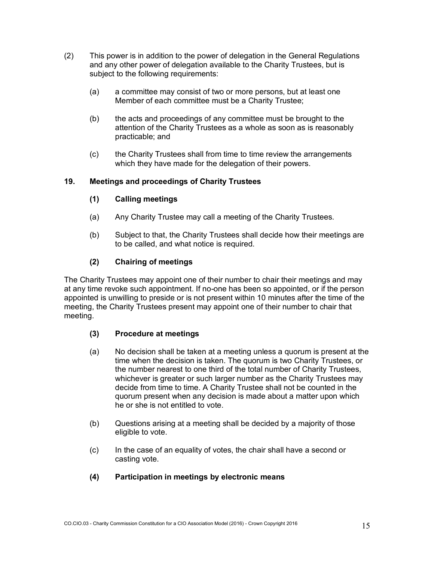- (2) This power is in addition to the power of delegation in the General Regulations and any other power of delegation available to the Charity Trustees, but is subject to the following requirements:
	- (a) a committee may consist of two or more persons, but at least one Member of each committee must be a Charity Trustee;
	- (b) the acts and proceedings of any committee must be brought to the attention of the Charity Trustees as a whole as soon as is reasonably practicable; and
	- (c) the Charity Trustees shall from time to time review the arrangements which they have made for the delegation of their powers.

## **19. Meetings and proceedings of Charity Trustees**

### **(1) Calling meetings**

- (a) Any Charity Trustee may call a meeting of the Charity Trustees.
- (b) Subject to that, the Charity Trustees shall decide how their meetings are to be called, and what notice is required.

### **(2) Chairing of meetings**

The Charity Trustees may appoint one of their number to chair their meetings and may at any time revoke such appointment. If no-one has been so appointed, or if the person appointed is unwilling to preside or is not present within 10 minutes after the time of the meeting, the Charity Trustees present may appoint one of their number to chair that meeting.

#### **(3) Procedure at meetings**

- (a) No decision shall be taken at a meeting unless a quorum is present at the time when the decision is taken. The quorum is two Charity Trustees, or the number nearest to one third of the total number of Charity Trustees, whichever is greater or such larger number as the Charity Trustees may decide from time to time. A Charity Trustee shall not be counted in the quorum present when any decision is made about a matter upon which he or she is not entitled to vote.
- (b) Questions arising at a meeting shall be decided by a majority of those eligible to vote.
- (c) In the case of an equality of votes, the chair shall have a second or casting vote.
- **(4) Participation in meetings by electronic means**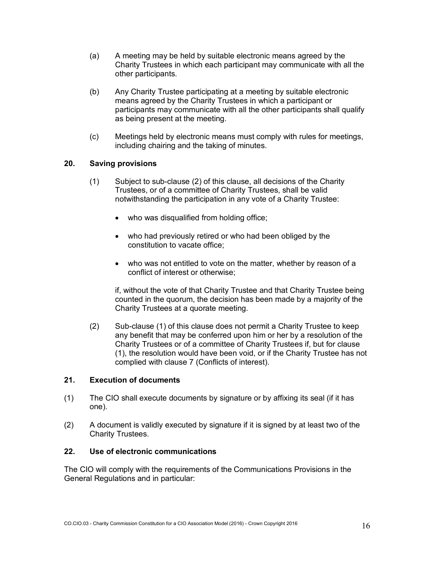- (a) A meeting may be held by suitable electronic means agreed by the Charity Trustees in which each participant may communicate with all the other participants.
- (b) Any Charity Trustee participating at a meeting by suitable electronic means agreed by the Charity Trustees in which a participant or participants may communicate with all the other participants shall qualify as being present at the meeting.
- (c) Meetings held by electronic means must comply with rules for meetings, including chairing and the taking of minutes.

## **20. Saving provisions**

- (1) Subject to sub-clause (2) of this clause, all decisions of the Charity Trustees, or of a committee of Charity Trustees, shall be valid notwithstanding the participation in any vote of a Charity Trustee:
	- who was disqualified from holding office;
	- who had previously retired or who had been obliged by the constitution to vacate office;
	- who was not entitled to vote on the matter, whether by reason of a conflict of interest or otherwise;

if, without the vote of that Charity Trustee and that Charity Trustee being counted in the quorum, the decision has been made by a majority of the Charity Trustees at a quorate meeting.

(2) Sub-clause (1) of this clause does not permit a Charity Trustee to keep any benefit that may be conferred upon him or her by a resolution of the Charity Trustees or of a committee of Charity Trustees if, but for clause (1), the resolution would have been void, or if the Charity Trustee has not complied with clause 7 (Conflicts of interest).

#### **21. Execution of documents**

- (1) The CIO shall execute documents by signature or by affixing its seal (if it has one).
- (2) A document is validly executed by signature if it is signed by at least two of the Charity Trustees.

#### **22. Use of electronic communications**

The CIO will comply with the requirements of the Communications Provisions in the General Regulations and in particular: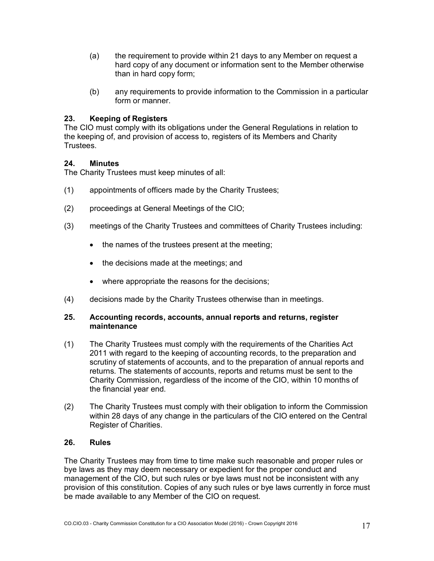- (a) the requirement to provide within 21 days to any Member on request a hard copy of any document or information sent to the Member otherwise than in hard copy form;
- (b) any requirements to provide information to the Commission in a particular form or manner.

## **23. Keeping of Registers**

The CIO must comply with its obligations under the General Regulations in relation to the keeping of, and provision of access to, registers of its Members and Charity Trustees.

### **24. Minutes**

The Charity Trustees must keep minutes of all:

- (1) appointments of officers made by the Charity Trustees;
- (2) proceedings at General Meetings of the CIO;
- (3) meetings of the Charity Trustees and committees of Charity Trustees including:
	- the names of the trustees present at the meeting;
	- the decisions made at the meetings; and
	- where appropriate the reasons for the decisions;
- (4) decisions made by the Charity Trustees otherwise than in meetings.

#### **25. Accounting records, accounts, annual reports and returns, register maintenance**

- (1) The Charity Trustees must comply with the requirements of the Charities Act 2011 with regard to the keeping of accounting records, to the preparation and scrutiny of statements of accounts, and to the preparation of annual reports and returns. The statements of accounts, reports and returns must be sent to the Charity Commission, regardless of the income of the CIO, within 10 months of the financial year end.
- (2) The Charity Trustees must comply with their obligation to inform the Commission within 28 days of any change in the particulars of the CIO entered on the Central Register of Charities.

#### **26. Rules**

The Charity Trustees may from time to time make such reasonable and proper rules or bye laws as they may deem necessary or expedient for the proper conduct and management of the CIO, but such rules or bye laws must not be inconsistent with any provision of this constitution. Copies of any such rules or bye laws currently in force must be made available to any Member of the CIO on request.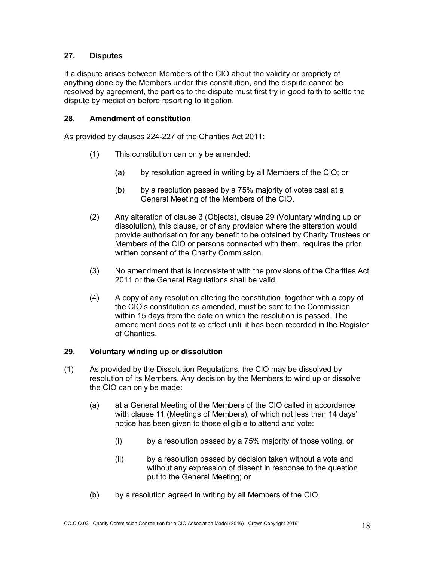# **27. Disputes**

If a dispute arises between Members of the CIO about the validity or propriety of anything done by the Members under this constitution, and the dispute cannot be resolved by agreement, the parties to the dispute must first try in good faith to settle the dispute by mediation before resorting to litigation.

### **28. Amendment of constitution**

As provided by clauses 224-227 of the Charities Act 2011:

- (1) This constitution can only be amended:
	- (a) by resolution agreed in writing by all Members of the CIO; or
	- (b) by a resolution passed by a 75% majority of votes cast at a General Meeting of the Members of the CIO.
- (2) Any alteration of clause 3 (Objects), clause 29 (Voluntary winding up or dissolution), this clause, or of any provision where the alteration would provide authorisation for any benefit to be obtained by Charity Trustees or Members of the CIO or persons connected with them, requires the prior written consent of the Charity Commission.
- (3) No amendment that is inconsistent with the provisions of the Charities Act 2011 or the General Regulations shall be valid.
- (4) A copy of any resolution altering the constitution, together with a copy of the CIO's constitution as amended, must be sent to the Commission within 15 days from the date on which the resolution is passed. The amendment does not take effect until it has been recorded in the Register of Charities.

#### **29. Voluntary winding up or dissolution**

- (1) As provided by the Dissolution Regulations, the CIO may be dissolved by resolution of its Members. Any decision by the Members to wind up or dissolve the CIO can only be made:
	- (a) at a General Meeting of the Members of the CIO called in accordance with clause 11 (Meetings of Members), of which not less than 14 days' notice has been given to those eligible to attend and vote:
		- (i) by a resolution passed by a 75% majority of those voting, or
		- (ii) by a resolution passed by decision taken without a vote and without any expression of dissent in response to the question put to the General Meeting; or
	- (b) by a resolution agreed in writing by all Members of the CIO.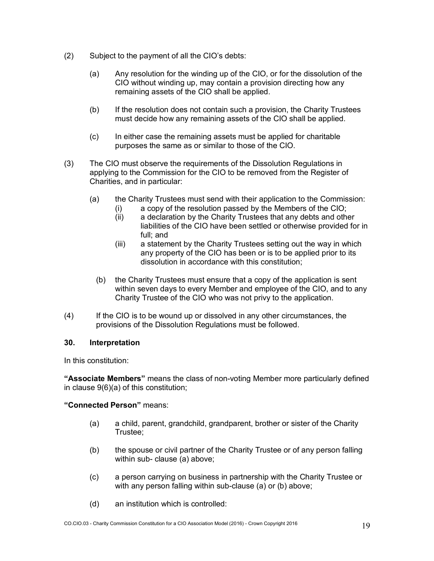- (2) Subject to the payment of all the CIO's debts:
	- (a) Any resolution for the winding up of the CIO, or for the dissolution of the CIO without winding up, may contain a provision directing how any remaining assets of the CIO shall be applied.
	- (b) If the resolution does not contain such a provision, the Charity Trustees must decide how any remaining assets of the CIO shall be applied.
	- (c) In either case the remaining assets must be applied for charitable purposes the same as or similar to those of the CIO.
- (3) The CIO must observe the requirements of the Dissolution Regulations in applying to the Commission for the CIO to be removed from the Register of Charities, and in particular:
	- (a) the Charity Trustees must send with their application to the Commission:
		- (i) a copy of the resolution passed by the Members of the CIO;
		- (ii) a declaration by the Charity Trustees that any debts and other liabilities of the CIO have been settled or otherwise provided for in full; and
		- (iii) a statement by the Charity Trustees setting out the way in which any property of the CIO has been or is to be applied prior to its dissolution in accordance with this constitution;
		- (b) the Charity Trustees must ensure that a copy of the application is sent within seven days to every Member and employee of the CIO, and to any Charity Trustee of the CIO who was not privy to the application.
- (4) If the CIO is to be wound up or dissolved in any other circumstances, the provisions of the Dissolution Regulations must be followed.

## **30. Interpretation**

In this constitution:

**"Associate Members"** means the class of non-voting Member more particularly defined in clause 9(6)(a) of this constitution;

**"Connected Person"** means:

- (a) a child, parent, grandchild, grandparent, brother or sister of the Charity Trustee;
- (b) the spouse or civil partner of the Charity Trustee or of any person falling within sub- clause (a) above;
- (c) a person carrying on business in partnership with the Charity Trustee or with any person falling within sub-clause (a) or (b) above;
- (d) an institution which is controlled: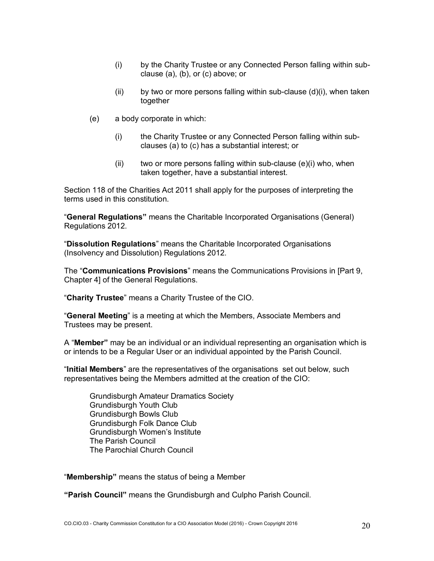- (i) by the Charity Trustee or any Connected Person falling within subclause (a), (b), or (c) above; or
- $(i)$  by two or more persons falling within sub-clause  $(d)(i)$ , when taken together
- (e) a body corporate in which:
	- (i) the Charity Trustee or any Connected Person falling within subclauses (a) to (c) has a substantial interest; or
	- (ii) two or more persons falling within sub-clause (e)(i) who, when taken together, have a substantial interest.

Section 118 of the Charities Act 2011 shall apply for the purposes of interpreting the terms used in this constitution.

"**General Regulations"** means the Charitable Incorporated Organisations (General) Regulations 2012.

"**Dissolution Regulations**" means the Charitable Incorporated Organisations (Insolvency and Dissolution) Regulations 2012.

The "**Communications Provisions**" means the Communications Provisions in [Part 9, Chapter 4] of the General Regulations.

"**Charity Trustee**" means a Charity Trustee of the CIO.

"**General Meeting**" is a meeting at which the Members, Associate Members and Trustees may be present.

A "**Member"** may be an individual or an individual representing an organisation which is or intends to be a Regular User or an individual appointed by the Parish Council.

"**Initial Members**" are the representatives of the organisations set out below, such representatives being the Members admitted at the creation of the CIO:

Grundisburgh Amateur Dramatics Society Grundisburgh Youth Club Grundisburgh Bowls Club Grundisburgh Folk Dance Club Grundisburgh Women's Institute The Parish Council The Parochial Church Council

"**Membership"** means the status of being a Member

**"Parish Council"** means the Grundisburgh and Culpho Parish Council.